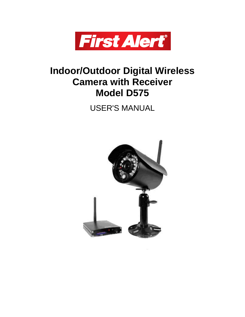

# **Indoor/Outdoor Digital Wireless Camera with Receiver Model D575**

USER'S MANUAL

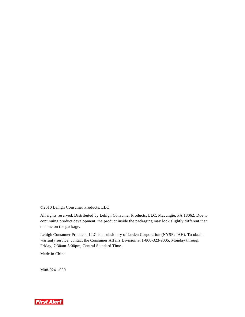©2010 Lehigh Consumer Products, LLC

All rights reserved. Distributed by Lehigh Consumer Products, LLC, Macungie, PA 18062. Due to continuing product development, the product inside the packaging may look slightly different than the one on the package.

Lehigh Consumer Products, LLC is a subsidiary of Jarden Corporation (NYSE: JAH). To obtain warranty service, contact the Consumer Affairs Division at 1-800-323-9005, Monday through Friday, 7:30am-5:00pm, Central Standard Time.

Made in China

M08-0241-000

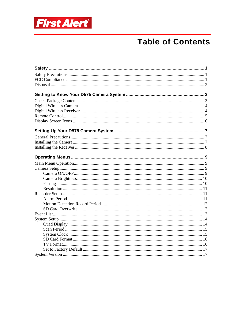

# **Table of Contents**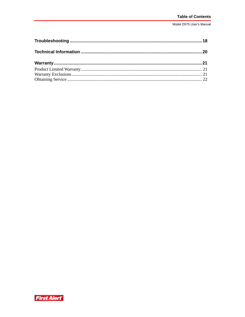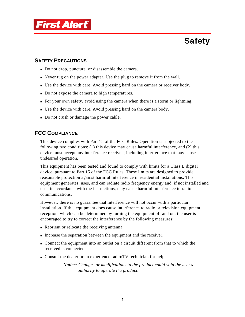

# **Safety**

## **SAFETY PRECAUTIONS**

- Do not drop, puncture, or disassemble the camera.
- Never tug on the power adapter. Use the plug to remove it from the wall.
- Use the device with care. Avoid pressing hard on the camera or receiver body.
- Do not expose the camera to high temperatures.
- For your own safety, avoid using the camera when there is a storm or lightning.
- Use the device with care. Avoid pressing hard on the camera body.
- Do not crush or damage the power cable.

## **FCC COMPLIANCE**

This device complies with Part 15 of the FCC Rules. Operation is subjected to the following two conditions: (1) this device may cause harmful interference, and (2) this device must accept any interference received, including interference that may cause undesired operation.

This equipment has been tested and found to comply with limits for a Class B digital device, pursuant to Part 15 of the FCC Rules. These limits are designed to provide reasonable protection against harmful interference in residential installations. This equipment generates, uses, and can radiate radio frequency energy and, if not installed and used in accordance with the instructions, may cause harmful interference to radio communications.

However, there is no guarantee that interference will not occur with a particular installation. If this equipment does cause interference to radio or television equipment reception, which can be determined by turning the equipment off and on, the user is encouraged to try to correct the interference by the following measures:

- Reorient or relocate the receiving antenna.
- Increase the separation between the equipment and the receiver.
- Connect the equipment into an outlet on a circuit different from that to which the received is connected.
- Consult the dealer or an experience radio/TV technician for help.

*Notice: Changes or modifications to the product could void the user's authority to operate the product.*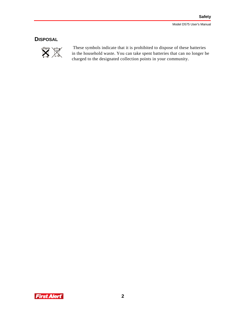## **DISPOSAL**



 These symbols indicate that it is prohibited to dispose of these batteries in the household waste. You can take spent batteries that can no longer be charged to the designated collection points in your community.

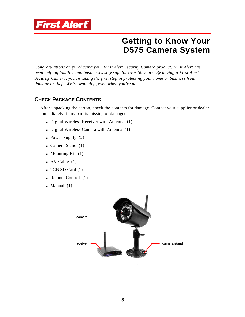

# **Getting to Know Your D575 Camera System**

*Congratulations on purchasing your First Alert Security Camera product. First Alert has been helping families and businesses stay safe for over 50 years. By having a First Alert Security Camera, you're taking the first step in protecting your home or business from damage or theft. We're watching, even when you're not.* 

## **CHECK PACKAGE CONTENTS**

After unpacking the carton, check the contents for damage. Contact your supplier or dealer immediately if any part is missing or damaged.

- Digital Wireless Receiver with Antenna (1)
- Digital Wireless Camera with Antenna (1)
- Power Supply  $(2)$
- $\blacksquare$  Camera Stand (1)
- $\blacksquare$  Mounting Kit (1)
- $\blacksquare$  AV Cable (1)
- $\bullet$  2GB SD Card (1)
- Remote Control  $(1)$
- $\blacksquare$  Manual (1)

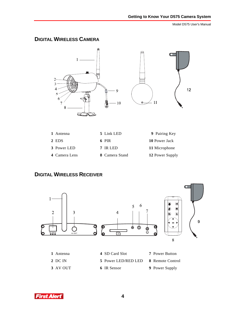## **DIGITAL WIRELESS CAMERA**



| 1 Antenna     | 5 Link LED     | 9 Pairing Key   |
|---------------|----------------|-----------------|
| 2 EDS         | 6 PIR          | 10 Power Jack   |
| 3 Power LED   | 7 IR LED       | 11 Microphone   |
| 4 Camera Lens | 8 Camera Stand | 12 Power Supply |

## **DIGITAL WIRELESS RECEIVER**



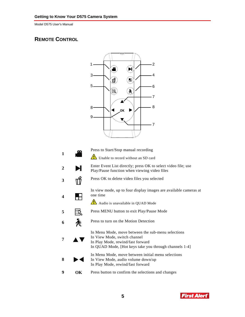## **REMOTE CONTROL**



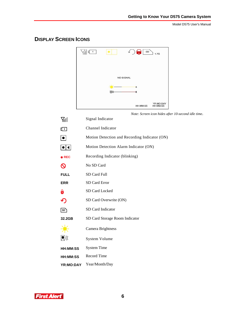## **DISPLAY SCREEN ICONS**



*Note: Screen icon hides after 10-second idle time*.

| Yıll                       | Signal Indicator                              |
|----------------------------|-----------------------------------------------|
| 凸                          | Channel Indicator                             |
| $\boxed{\bullet}$          | Motion Detection and Recording Indicator (ON) |
| $ \bullet \bullet $        | Motion Detection Alarm Indicator (ON)         |
| $\bullet$ REC              | Recording Indicator (blinking)                |
| $\boldsymbol{\mathsf{O}}$  | No SD Card                                    |
| <b>FULL</b>                | SD Card Full                                  |
| <b>ERR</b>                 | SD Card Error                                 |
| $\mathbf{\hat{o}}$         | SD Card Locked                                |
| $\boldsymbol{\mathcal{P}}$ | SD Card Overwrite (ON)                        |
| $\sqrt{3D}$                | SD Card Indicator                             |
| 32.2GB                     | SD Card Storage Room Indicator                |
|                            | Camera Brightness                             |
| 则则                         | <b>System Volume</b>                          |
| HH:MM:SS                   | <b>System Time</b>                            |
| HH:MM:SS                   | <b>Record Time</b>                            |
| YR:MO:DAY                  | Year/Month/Day                                |

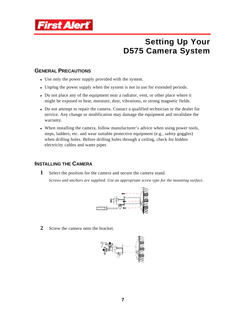

# **Setting Up Your D575 Camera System**

## **GENERAL PRECAUTIONS**

- Use only the power supply provided with the system.
- Unplug the power supply when the system is not in use for extended periods.
- Do not place any of the equipment near a radiator, vent, or other place where it might be exposed to heat, moisture, dust, vibrations, or strong magnetic fields.
- Do not attempt to repair the camera. Contact a qualified technician or the dealer for service. Any change or modification may damage the equipment and invalidate the warranty.
- When installing the camera, follow manufacturer's advice when using power tools, steps, ladders, etc. and wear suitable protective equipment (e.g., safety goggles) when drilling holes. Before drilling holes through a ceiling, check for hidden electricity cables and water pipes

### **INSTALLING THE CAMERA**

**1** Select the position for the camera and secure the camera stand.

*Screws and anchors are supplied. Use an appropriate screw type for the mounting surface.* 



**2** Screw the camera onto the bracket.

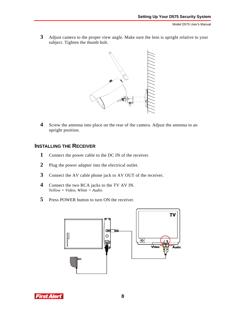**3** Adjust camera to the proper view angle. Make sure the lens is upright relative to your subject. Tighten the thumb bolt.



**4** Screw the antenna into place on the rear of the camera. Adjust the antenna to an upright position.

## **INSTALLING THE RECEIVER**

- **1** Connect the power cable to the DC IN of the receiver.
- **2** Plug the power adapter into the electrical outlet.
- **3** Connect the AV cable phone jack to AV OUT of the receiver.
- **4** Connect the two RCA jacks to the TV AV IN. *Yellow = Video, White = Audio*
- **5** Press POWER button to turn ON the receiver.



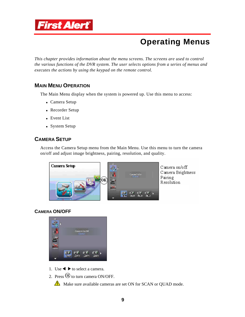

# **Operating Menus**

*This chapter provides information about the menu screens. The screens are used to control the various functions of the DVR system. The user selects options from a series of menus and executes the actions by using the keypad on the remote control.* 

## **MAIN MENU OPERATION**

The Main Menu display when the system is powered up. Use this menu to access:

- Camera Setup
- Recorder Setup
- **Event List**
- **System Setup**

## **CAMERA SETUP**

Access the Camera Setup menu from the Main Menu. Use this menu to turn the camera on/off and adjust image brightness, pairing, resolution, and quality.



Camera on/off Camera Brightness Pairing Resolution

#### **CAMERA ON/OFF**



- 1. Use  $\triangleleft \triangleright$  to select a camera.
- 2. Press  $\overline{00}$  to turn camera ON/OFF.

Make sure available cameras are set ON for SCAN or QUAD mode.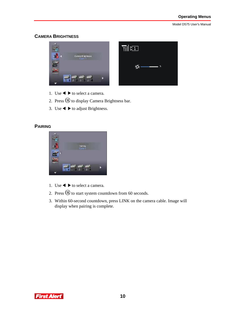### **CAMERA BRIGHTNESS**



- 1. Use  $\blacktriangleleft \blacktriangleright$  to select a camera.
- 2. Press  $\overline{\textcircled{B}}$  to display Camera Brightness bar.
- 3. Use  $\blacktriangleleft \blacktriangleright$  to adjust Brightness.

#### **PAIRING**



- 1. Use  $\triangleleft \triangleright$  to select a camera.
- 2. Press  $\circledR$  to start system countdown from 60 seconds.
- 3. Within 60-second countdown, press LINK on the camera cable. Image will display when pairing is complete.

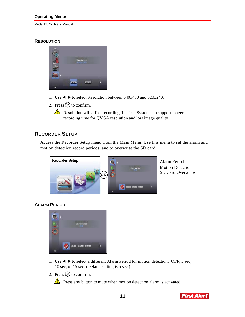#### **Operating Menus**

Model D575 User's Manual

#### **RESOLUTION**



- 1. Use  $\blacktriangleleft \blacktriangleright$  to select Resolution between 640x480 and 320x240.
- 2. Press  $\circledR$  to confirm.

Resolution will affect recording file size. System can support longer recording time for QVGA resolution and low image quality.

## **RECORDER SETUP**

Access the Recorder Setup menu from the Main Menu. Use this menu to set the alarm and motion detection record periods, and to overwrite the SD card.



Alarm Period Motion Detection

#### **ALARM PERIOD**



- 1. Use  $\blacktriangleleft \blacktriangleright$  to select a different Alarm Period for motion detection: OFF, 5 sec, 10 sec, or 15 sec. (Default setting is 5 sec.)
- 2. Press  $\circledR$  to confirm.

 $\triangle$  Press any button to mute when motion detection alarm is activated.

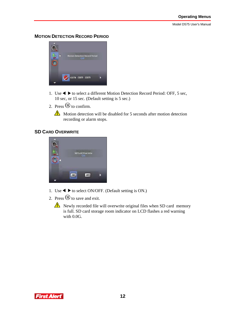#### **MOTION DETECTION RECORD PERIOD**



- 1. Use  $\blacktriangleleft \blacktriangleright$  to select a different Motion Detection Record Period: OFF, 5 sec, 10 sec, or 15 sec. (Default setting is 5 sec.)
- 2. Press  $\overline{\circledR}$  to confirm.

 $\triangle$  Motion detection will be disabled for 5 seconds after motion detection recording or alarm stops.

#### **SD CARD OVERWRITE**



- 1. Use  $\blacktriangleleft \blacktriangleright$  to select ON/OFF. (Default setting is ON.)
- 2. Press  $\overline{00}$  to save and exit.
	- Newly recorded file will overwrite original files when SD card memory is full. SD card storage room indicator on LCD flashes a red warning with 0.0G.

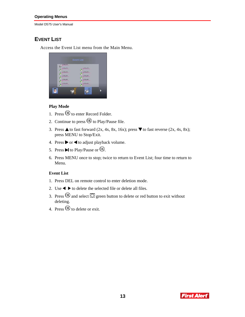#### **Operating Menus**

Model D575 User's Manual

## **EVENT LIST**

Access the Event List menu from the Main Menu.

|   |                                                                                   | <b>Event List</b> |                                                                       |  |
|---|-----------------------------------------------------------------------------------|-------------------|-----------------------------------------------------------------------|--|
|   | <b>AMTIL</b><br>(4346 y.170)<br>x346y210<br>k144 y 250<br>x386 x290<br>K140 y.130 |                   | x.376 y.170<br>x376y210<br>s.176 y 250<br>s.176 y 296<br>ja.176 y.330 |  |
| ь |                                                                                   |                   |                                                                       |  |

#### **Play Mode**

- 1. Press  $\overline{\circledR}$  to enter Record Folder.
- 2. Continue to press  $\overline{\mathbb{O}Q}$  to Play/Pause file.
- 3. Press  $\triangle$  to fast forward (2x, 4x, 8x, 16x); press  $\nabla$  to fast reverse (2x, 4x, 8x); press MENU to Stop/Exit.
- 4. Press  $\triangleright$  or  $\triangleleft$  to adjust playback volume.
- 5. Press  $\blacksquare$  to Play/Pause or  $\overset{\frown}{\mathbb{B}}$ .
- 6. Press MENU once to stop; twice to return to Event List; four time to return to Menu.

#### **Event List**

- 1. Press DEL on remote control to enter deletion mode.
- 2. Use  $\blacktriangleleft \blacktriangleright$  to delete the selected file or delete all files.
- 3. Press  $\overline{\circledR}$  and select  $\overline{\circlearrowright}$  green button to delete or red button to exit without deleting.
- 4. Press  $\overline{00}$  to delete or exit.

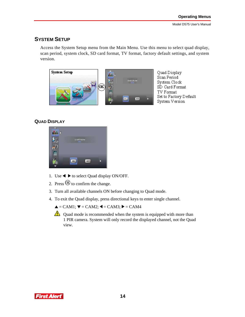## **SYSTEM SETUP**

Access the System Setup menu from the Main Menu. Use this menu to select quad display, scan period, system clock, SD card format, TV format, factory default settings, and system version.



### **QUAD DISPLAY**

| <b>HAM</b><br>m                 |    |             |  |
|---------------------------------|----|-------------|--|
|                                 |    | GLANTING W. |  |
| $\overline{25}$                 |    |             |  |
| $\mathbf{g}_\text{eq}$<br>Remar |    |             |  |
|                                 | ON | OFF         |  |
|                                 |    |             |  |

- 1. Use  $\blacktriangleleft \blacktriangleright$  to select Quad display ON/OFF.
- 2. Press  $\circledR$  to confirm the change.
- 3. Turn all available channels ON before changing to Quad mode.
- 4. To exit the Quad display, press directional keys to enter single channel.

 $\triangle$  = CAM1;  $\nabla$  = CAM2;  $\blacktriangle$  = CAM3;  $\blacktriangleright$  = CAM4

 $\triangle$  Quad mode is recommended when the system is equipped with more than 1 PIR camera. System will only record the displayed channel, not the Quad view.

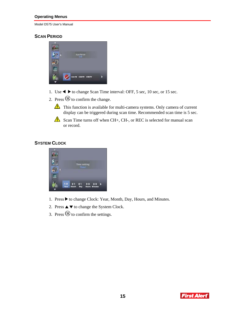#### **Operating Menus**

Model D575 User's Manual

### **SCAN PERIOD**

| <b>SurPurior</b>          |  |
|---------------------------|--|
|                           |  |
| <b>ERRIB (2005) (FRRS</b> |  |

- 1. Use  $\blacktriangleleft \blacktriangleright$  to change Scan Time interval: OFF, 5 sec, 10 sec, or 15 sec.
- 2. Press  $\overline{\mathbb{O}}$  to confirm the change.
	- This function is available for multi-camera systems. Only camera of current display can be triggered during scan time. Recommended scan time is 5 sec.
	- Scan Time turns off when CH+, CH-, or REC is selected for manual scan or record.

### **SYSTEM CLOCK**



- 1. Press  $\blacktriangleright$  to change Clock: Year, Month, Day, Hours, and Minutes.
- 2. Press  $\blacktriangle \blacktriangledown$  to change the System Clock.
- 3. Press  $\overline{00}$  to confirm the settings.

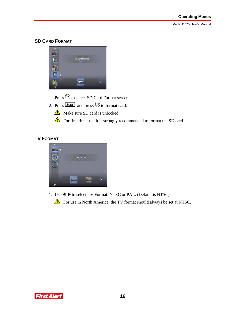#### **SD CARD FORMAT**



- 1. Press  $\overline{\textrm{CD}}$  to select SD Card Format screen.
- 2. Press  $\boxed{\text{Start}}$  and press  $\overline{\text{W}}$  to format card.
	- $\triangle$  Make sure SD card is unlocked.

For first time use, it is strongly recommended to format the SD card.

## **TV FORMAT**



1. Use  $\blacktriangleleft \blacktriangleright$  to select TV Format: NTSC or PAL. (Default is NTSC)

For use in North America, the TV format should always be set at NTSC.

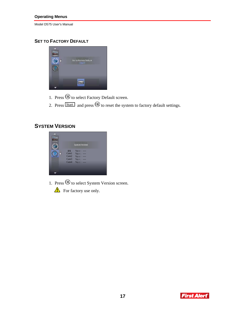## **SET TO FACTORY DEFAULT**



- 1. Press  $\overline{\mathbb{O}}$  to select Factory Default screen.
- 2. Press  $\boxed{\text{Start}}$  and press  $\textcircled{B}$  to reset the system to factory default settings.

## **SYSTEM VERSION**



- 1. Press  $\circledR$  to select System Version screen.
	- $\triangle$  For factory use only.

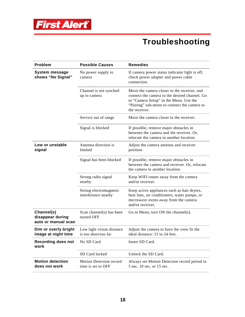

# **Troubleshooting**

| <b>Problem</b>                                        | <b>Possible Causes</b>                            | <b>Remedies</b>                                                                                                                                                                                        |
|-------------------------------------------------------|---------------------------------------------------|--------------------------------------------------------------------------------------------------------------------------------------------------------------------------------------------------------|
| <b>System message</b><br>shows "No Signal"            | No power supply to<br>camera                      | If camera power status indicator light is off,<br>check power adapter and power cable<br>connection.                                                                                                   |
|                                                       | Channel is not synched<br>up to camera            | Move the camera closer to the receiver, and<br>connect the camera to the desired channel. Go<br>to "Camera Setup" in the Menu. Use the<br>"Pairing" sub-menu to connect the camera to<br>the receiver. |
|                                                       | Service out of range                              | Move the camera closer to the receiver.                                                                                                                                                                |
|                                                       | Signal is blocked                                 | If possible, remove major obstacles in<br>between the camera and the receiver. Or,<br>relocate the camera to another location.                                                                         |
| Low or unstable<br>signal                             | Antenna direction is<br>limited                   | Adjust the camera antenna and receiver<br>position                                                                                                                                                     |
|                                                       | Signal has been blocked                           | If possible, remove major obstacles in<br>between the camera and receiver. Or, relocate<br>the camera to another location.                                                                             |
|                                                       | Strong radio signal<br>nearby                     | Keep WIFI router away from the camera<br>and/or receiver.                                                                                                                                              |
|                                                       | Strong electromagnetic<br>interference nearby     | Keep active appliances such as hair dryers,<br>heat fans, air conditioners, water pumps, or<br>microwave ovens away from the camera<br>and/or receiver.                                                |
| Channel(s)<br>disappear during<br>auto or manual scan | Scan channel(s) has been<br>turned OFF            | Go to Menu; turn $ON$ the channel(s).                                                                                                                                                                  |
| Dim or overly bright<br>image at night time           | Low light vision distance<br>is too short/too far | Adjust the camera to have the view fit the<br>ideal distance: 15 to 24 feet.                                                                                                                           |
| <b>Recording does not</b><br>work                     | No SD Card                                        | Insert SD Card.                                                                                                                                                                                        |
|                                                       | SD Card locked                                    | Unlock the SD Card.                                                                                                                                                                                    |
| <b>Motion detection</b><br>does not work              | Motion Detection record<br>time is set to OFF     | Always set Motion Detection record period to<br>5 sec, 10 sec, or 15 sec.                                                                                                                              |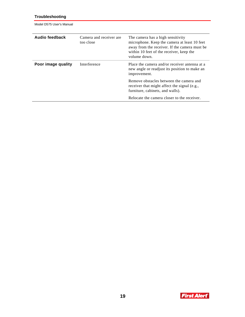### **Troubleshooting**

Model D575 User's Manual

| Audio feedback     | Camera and receiver are<br>too close | The camera has a high sensitivity<br>microphone. Keep the camera at least 10 feet<br>away from the receiver. If the camera must be<br>within 10 feet of the receiver, keep the<br>volume down. |
|--------------------|--------------------------------------|------------------------------------------------------------------------------------------------------------------------------------------------------------------------------------------------|
| Poor image quality | Interference                         | Place the camera and/or receiver antenna at a<br>new angle or readjust its position to make an<br>improvement.                                                                                 |
|                    |                                      | Remove obstacles between the camera and<br>receiver that might affect the signal (e.g.,<br>furniture, cabinets, and walls).                                                                    |
|                    |                                      | Relocate the camera closer to the receiver.                                                                                                                                                    |

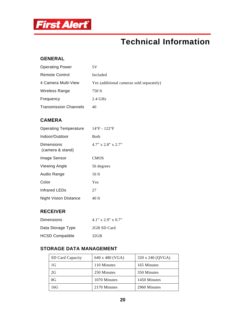

# **Technical Information**

### **GENERAL**

| <b>Operating Power</b>       | 5V                                       |
|------------------------------|------------------------------------------|
| <b>Remote Control</b>        | Included                                 |
| 4 Camera Multi-View          | Yes (additional cameras sold separately) |
| <b>Wireless Range</b>        | 750 ft                                   |
| Frequency                    | $2.4 \text{ GHz}$                        |
| <b>Transmission Channels</b> | 40                                       |

## **CAMERA**

| <b>Operating Temperature</b>   | 14°F - 122°F                |
|--------------------------------|-----------------------------|
| Indoor/Outdoor                 | <b>Both</b>                 |
| Dimensions<br>(camera & stand) | $4.7$ " x $2.8$ " x $2.7$ " |
| Image Sensor                   | <b>CMOS</b>                 |
| Viewing Angle                  | 56 degrees                  |
| Audio Range                    | $16$ ft                     |
| Color                          | Yes                         |
| Infrared LEDs                  | 27                          |
| <b>Night Vision Distance</b>   | 40 ft                       |

## **RECEIVER**

| Dimensions             | $4.1$ " x $2.9$ " x $0.7$ " |
|------------------------|-----------------------------|
| Data Storage Type      | 2GB SD Card                 |
| <b>HCSD Compatible</b> | 32GB                        |

## **STORAGE DATA MANAGEMENT**

| SD Card Capacity | 640 x 480 (VGA) | 320 x 240 (QVGA) |
|------------------|-----------------|------------------|
| 1G               | 110 Minutes     | 165 Minutes      |
| 2G               | 250 Minutes     | 350 Minutes      |
| 8G               | 1070 Minutes    | 1450 Minutes     |
| 16G              | 2170 Minutes    | 2960 Minutes     |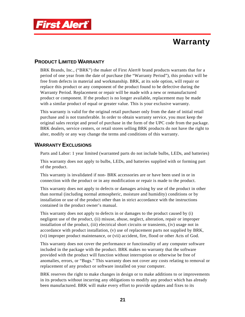

# **Warranty**

## **PRODUCT LIMITED WARRANTY**

BRK Brands, Inc., ("BRK") the maker of First Alert<sup>®</sup> brand products warrants that for a period of one year from the date of purchase (the "Warranty Period"), this product will be free from defects in material and workmanship. BRK, at its sole option, will repair or replace this product or any component of the product found to be defective during the Warranty Period. Replacement or repair will be made with a new or remanufactured product or component. If the product is no longer available, replacement may be made with a similar product of equal or greater value. This is your exclusive warranty.

This warranty is valid for the original retail purchaser only from the date of initial retail purchase and is not transferable. In order to obtain warranty service, you must keep the original sales receipt and proof of purchase in the form of the UPC code from the package. BRK dealers, service centers, or retail stores selling BRK products do not have the right to alter, modify or any way change the terms and conditions of this warranty.

## **WARRANTY EXCLUSIONS**

Parts and Labor: 1 year limited (warranted parts do not include bulbs, LEDs, and batteries)

This warranty does not apply to bulbs, LEDs, and batteries supplied with or forming part of the product.

This warranty is invalidated if non- BRK accessories are or have been used in or in connection with the product or in any modification or repair is made to the product.

This warranty does not apply to defects or damages arising by use of the product in other than normal (including normal atmospheric, moisture and humidity) conditions or by installation or use of the product other than in strict accordance with the instructions contained in the product owner's manual.

This warranty does not apply to defects in or damages to the product caused by (i) negligent use of the product, (ii) misuse, abuse, neglect, alteration, repair or improper installation of the product, (iii) electrical short circuits or transients, (iv) usage not in accordance with product installation, (v) use of replacement parts not supplied by BRK, (vi) improper product maintenance, or (vii) accident, fire, flood or other Acts of God.

This warranty does not cover the performance or functionality of any computer software included in the package with the product. BRK makes no warranty that the software provided with the product will function without interruption or otherwise be free of anomalies, errors, or "Bugs." This warranty does not cover any costs relating to removal or replacement of any product or software installed on your computer.

BRK reserves the right to make changes in design or to make additions to or improvements in its products without incurring any obligations to modify any product which has already been manufactured. BRK will make every effort to provide updates and fixes to its